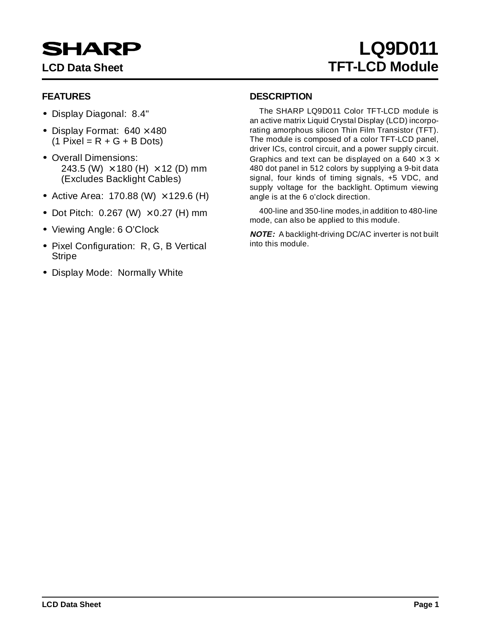# **SHARP**

# **LQ9D011 LCD Data Sheet TFT-LCD Module**

# **FEATURES**

- Display Diagonal: 8.4"
- Display Format:  $640 \times 480$  $(1$  Pixel = R + G + B Dots)
- Overall Dimensions: 243.5 (W)  $\times$  180 (H)  $\times$  12 (D) mm (Excludes Backlight Cables)
- Active Area:  $170.88$  (W)  $\times$  129.6 (H)
- Dot Pitch:  $0.267$  (W)  $\times$  0.27 (H) mm
- Viewing Angle: 6 O'Clock
- Pixel Configuration: R, G, B Vertical Stripe
- Display Mode: Normally White

## **DESCRIPTION**

The SHARP LQ9D011 Color TFT-LCD module is an active matrix Liquid Crystal Display (LCD) incorporating amorphous silicon Thin Film Transistor (TFT). The module is composed of a color TFT-LCD panel, driver ICs, control circuit, and a power supply circuit. Graphics and text can be displayed on a 640  $\times$  3  $\times$ 480 dot panel in 512 colors by supplying a 9-bit data signal, four kinds of timing signals, +5 VDC, and supply voltage for the backlight. Optimum viewing angle is at the 6 o'clock direction.

400-line and 350-line modes, in addition to 480-line mode, can also be applied to this module.

**NOTE:** A backlight-driving DC/AC inverter is not built into this module.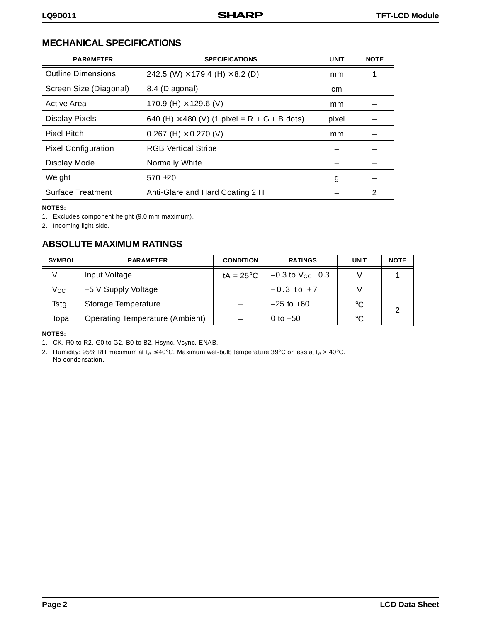# **MECHANICAL SPECIFICATIONS**

| <b>PARAMETER</b>           | <b>SPECIFICATIONS</b>                               | <b>UNIT</b> | <b>NOTE</b> |
|----------------------------|-----------------------------------------------------|-------------|-------------|
| <b>Outline Dimensions</b>  | 242.5 (W) $\times$ 179.4 (H) $\times$ 8.2 (D)       | mm          |             |
| Screen Size (Diagonal)     | 8.4 (Diagonal)                                      | cm          |             |
| Active Area                | 170.9 (H) $\times$ 129.6 (V)                        | mm          |             |
| Display Pixels             | 640 (H) $\times$ 480 (V) (1 pixel = R + G + B dots) | pixel       |             |
| <b>Pixel Pitch</b>         | 0.267 (H) $\times$ 0.270 (V)                        | mm          |             |
| <b>Pixel Configuration</b> | <b>RGB Vertical Stripe</b>                          |             |             |
| Display Mode               | Normally White                                      |             |             |
| Weight                     | $570 + 20$                                          | g           |             |
| <b>Surface Treatment</b>   | Anti-Glare and Hard Coating 2 H                     |             | 2           |

#### **NOTES:**

1. Excludes component height (9.0 mm maximum).

2. Incoming light side.

# **ABSOLUTE MAXIMUM RATINGS**

| <b>SYMBOL</b> | <b>PARAMETER</b>                       | <b>CONDITION</b>    | <b>RATINGS</b>          | <b>UNIT</b> | <b>NOTE</b> |
|---------------|----------------------------------------|---------------------|-------------------------|-------------|-------------|
| V١            | Input Voltage                          | tA = $25^{\circ}$ C | $-0.3$ to $V_{CC}$ +0.3 |             |             |
| Vcc           | +5 V Supply Voltage                    |                     | $-0.3$ to $+7$          |             |             |
| Tstg          | Storage Temperature                    |                     | $-25$ to $+60$          | $^{\circ}C$ |             |
| Topa          | <b>Operating Temperature (Ambient)</b> |                     | 0 to $+50$              | °C          |             |

### **NOTES:**

2. Humidity: 95% RH maximum at  $t_A \le 40^\circ \text{C}$ . Maximum wet-bulb temperature 39°C or less at  $t_A > 40^\circ \text{C}$ . No condensation.

<sup>1.</sup> CK, R0 to R2, G0 to G2, B0 to B2, Hsync, Vsync, ENAB.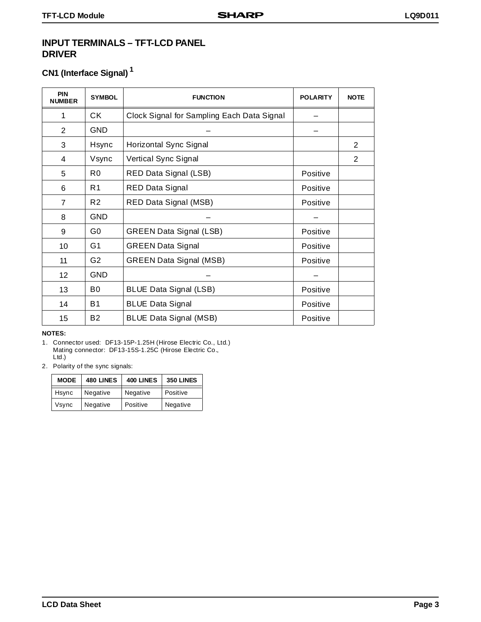### **INPUT TERMINALS – TFT-LCD PANEL DRIVER**

# **CN1 (Interface Signal) 1**

| PIN<br><b>NUMBER</b> | <b>SYMBOL</b>  | <b>FUNCTION</b>                            | <b>POLARITY</b> | <b>NOTE</b>    |
|----------------------|----------------|--------------------------------------------|-----------------|----------------|
| 1                    | СK             | Clock Signal for Sampling Each Data Signal |                 |                |
| $\overline{2}$       | <b>GND</b>     |                                            |                 |                |
| 3                    | Hsync          | Horizontal Sync Signal                     |                 | $\overline{2}$ |
| 4                    | Vsync          | Vertical Sync Signal                       |                 | 2              |
| 5                    | R0             | RED Data Signal (LSB)                      | Positive        |                |
| 6                    | R1             | <b>RED Data Signal</b>                     | Positive        |                |
| $\overline{7}$       | R <sub>2</sub> | RED Data Signal (MSB)                      | Positive        |                |
| 8                    | <b>GND</b>     |                                            |                 |                |
| 9                    | G0             | <b>GREEN Data Signal (LSB)</b>             | Positive        |                |
| 10                   | G1             | <b>GREEN Data Signal</b>                   | Positive        |                |
| 11                   | G <sub>2</sub> | <b>GREEN Data Signal (MSB)</b>             | Positive        |                |
| 12 <sub>2</sub>      | <b>GND</b>     |                                            |                 |                |
| 13                   | B <sub>0</sub> | <b>BLUE Data Signal (LSB)</b>              | Positive        |                |
| 14                   | <b>B1</b>      | <b>BLUE Data Signal</b>                    | Positive        |                |
| 15                   | B <sub>2</sub> | <b>BLUE Data Signal (MSB)</b>              | Positive        |                |

### **NOTES:**

- 1. Connector used: DF13-15P-1.25H (Hirose Electric Co., Ltd.) Mating connector: DF13-15S-1.25C (Hirose Electric Co., Ltd.)
- 2. Polarity of the sync signals:

| <b>MODE</b> | <b>480 LINES</b> | <b>400 LINES</b> | 350 LINES |
|-------------|------------------|------------------|-----------|
| Hsync       | Negative         | Negative         | Positive  |
| Vsync       | Negative         | Positive         | Negative  |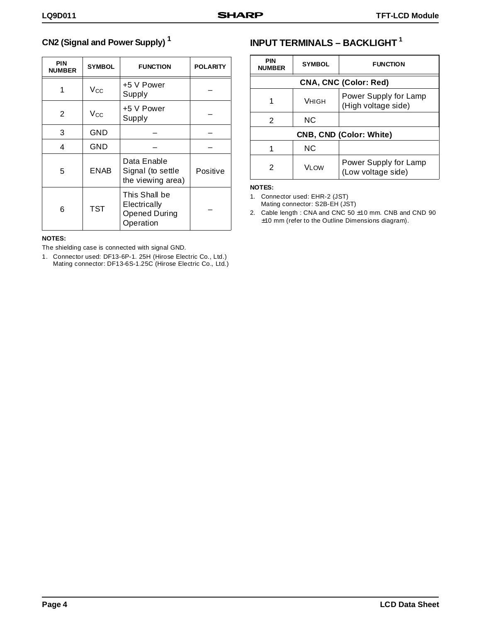# **CN2 (Signal and Power Supply) 1**

| <b>PIN</b><br><b>NUMBER</b> | <b>SYMBOL</b> | <b>FUNCTION</b>                                                    | <b>POLARITY</b> |
|-----------------------------|---------------|--------------------------------------------------------------------|-----------------|
| 1                           | $V_{\rm CC}$  | +5 V Power<br>Supply                                               |                 |
| 2                           | $V_{\rm CC}$  | +5 V Power<br>Supply                                               |                 |
| 3                           | GND           |                                                                    |                 |
| 4                           | GND           |                                                                    |                 |
| 5                           | <b>ENAB</b>   | Data Enable<br>Signal (to settle<br>the viewing area)              | Positive        |
| 6                           | <b>TST</b>    | This Shall be<br>Electrically<br><b>Opened During</b><br>Operation |                 |

### **NOTES:**

The shielding case is connected with signal GND.

1. Connector used: DF13-6P-1. 25H (Hirose Electric Co., Ltd.) Mating connector: DF13-6S-1.25C (Hirose Electric Co., Ltd.)

# **INPUT TERMINALS – BACKLIGHT 1**

| PIN<br><b>NUMBER</b> | <b>SYMBOL</b>                | <b>FUNCTION</b>                              |  |  |  |  |  |  |
|----------------------|------------------------------|----------------------------------------------|--|--|--|--|--|--|
|                      | <b>CNA, CNC (Color: Red)</b> |                                              |  |  |  |  |  |  |
| 1                    | VHIGH                        | Power Supply for Lamp<br>(High voltage side) |  |  |  |  |  |  |
| 2                    | <b>NC</b>                    |                                              |  |  |  |  |  |  |
|                      |                              | <b>CNB, CND (Color: White)</b>               |  |  |  |  |  |  |
|                      | <b>NC</b>                    |                                              |  |  |  |  |  |  |
| 2                    | V <sub>I</sub> OW            | Power Supply for Lamp<br>(Low voltage side)  |  |  |  |  |  |  |

### **NOTES:**

1. Connector used: EHR-2 (JST) Mating connector: S2B-EH (JST)

2. Cable length : CNA and CNC 50 ±10 mm. CNB and CND 90 ±10 mm (refer to the Outline Dimensions diagram).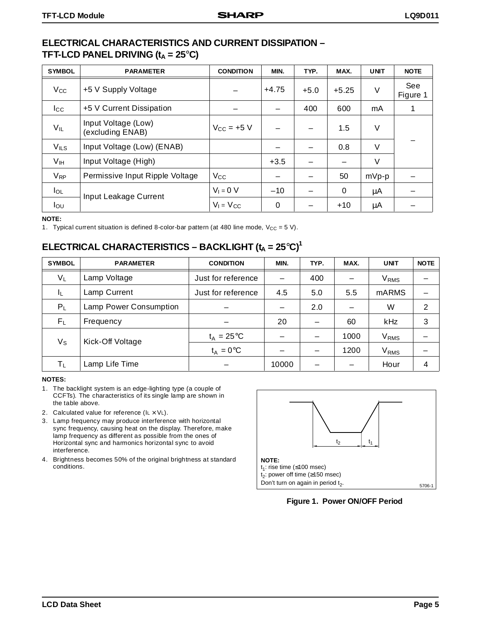### **ELECTRICAL CHARACTERISTICS AND CURRENT DISSIPATION – TFT-LCD PANEL DRIVING**  $(t_A = 25^\circ C)$

| <b>SYMBOL</b>         | <b>PARAMETER</b>                        | <b>CONDITION</b>       | MIN.     | TYP.   | MAX.    | <b>UNIT</b> | <b>NOTE</b>     |
|-----------------------|-----------------------------------------|------------------------|----------|--------|---------|-------------|-----------------|
| $V_{\rm CC}$          | +5 V Supply Voltage                     |                        | $+4.75$  | $+5.0$ | $+5.25$ | V           | See<br>Figure 1 |
| $_{\rm lcc}$          | +5 V Current Dissipation                |                        |          | 400    | 600     | mA          |                 |
| $V_{IL}$              | Input Voltage (Low)<br>(excluding ENAB) | $V_{\text{CC}} = +5$ V |          | —      | 1.5     | V           |                 |
| $V_{ILS}$             | Input Voltage (Low) (ENAB)              |                        |          |        | 0.8     | $\vee$      |                 |
| V <sub>IH</sub>       | Input Voltage (High)                    |                        | $+3.5$   |        |         | V           |                 |
| <b>V<sub>RP</sub></b> | Permissive Input Ripple Voltage         | <b>V<sub>cc</sub></b>  |          |        | 50      | $mVp-p$     |                 |
| $I_{OL}$              | Input Leakage Current                   | $V_1 = 0 V$            | $-10$    |        | 0       | μA          |                 |
| Iou                   |                                         | $V_1 = V_{CC}$         | $\Omega$ |        | $+10$   | μA          |                 |

#### **NOTE:**

1. Typical current situation is defined 8-color-bar pattern (at 480 line mode,  $V_{CC} = 5 V$ ).

# **ELECTRICAL CHARACTERISTICS – BACKLIGHT (t<sub>A</sub> = 25°C)<sup>1</sup>**

| <b>SYMBOL</b> | <b>PARAMETER</b>       | <b>CONDITION</b>    | MIN.  | TYP. | MAX. | <b>UNIT</b>      | <b>NOTE</b> |
|---------------|------------------------|---------------------|-------|------|------|------------------|-------------|
| $V_L$         | Lamp Voltage           | Just for reference  |       | 400  |      | $\rm V_{RMS}$    |             |
| ΙL            | Lamp Current           | Just for reference  | 4.5   | 5.0  | 5.5  | <b>mARMS</b>     |             |
| $P_L$         | Lamp Power Consumption |                     |       | 2.0  |      | W                | 2           |
| $F_L$         | Frequency              |                     | 20    |      | 60   | <b>kHz</b>       | 3           |
| $V_{S}$       | Kick-Off Voltage       | $t_A = 25^{\circ}C$ |       |      | 1000 | V <sub>RMS</sub> |             |
|               |                        | $t_A = 0$ °C        |       |      | 1200 | $\rm V_{RMS}$    |             |
| $T_{L}$       | Lamp Life Time         |                     | 10000 |      |      | Hour             |             |

#### **NOTES:**

- 1. The backlight system is an edge-lighting type (a couple of CCFTs). The characteristics of its single lamp are shown in the table above.
- 2. Calculated value for reference  $(I_L \times V_L)$ .
- 3. Lamp frequency may produce interference with horizontal sync frequency, causing heat on the display. Therefore, make lamp frequency as different as possible from the ones of Horizontal sync and harmonics horizontal sync to avoid interference.
- 4. Brightness becomes 50% of the original brightness at standard conditions.



**Figure 1. Power ON/OFF Period**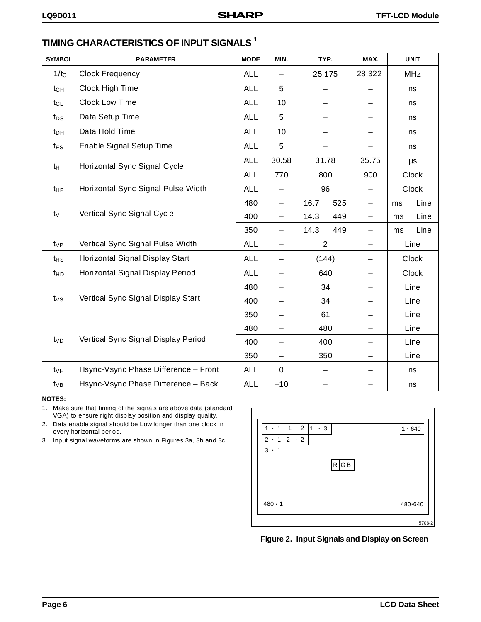| <b>SYMBOL</b>    | <b>PARAMETER</b>                     | <b>MODE</b> | MIN.                     | TYP.                     |     | MAX.              |    | <b>UNIT</b>  |
|------------------|--------------------------------------|-------------|--------------------------|--------------------------|-----|-------------------|----|--------------|
| 1/t <sub>C</sub> | <b>Clock Frequency</b>               | <b>ALL</b>  | —                        | 25.175                   |     | 28.322            |    | <b>MHz</b>   |
| $t_{CH}$         | Clock High Time                      | <b>ALL</b>  | 5                        |                          |     |                   | ns |              |
| $t_{CL}$         | Clock Low Time                       | <b>ALL</b>  | 10                       | $\overline{\phantom{0}}$ |     |                   |    | ns           |
| tps              | Data Setup Time                      | <b>ALL</b>  | 5                        | —                        |     | $\qquad \qquad -$ |    | ns           |
| $t_{DH}$         | Data Hold Time                       | <b>ALL</b>  | 10                       | -                        |     |                   |    | ns           |
| $t_{ES}$         | Enable Signal Setup Time             | <b>ALL</b>  | 5                        |                          |     |                   |    | ns           |
| $t_H$            | Horizontal Sync Signal Cycle         | <b>ALL</b>  | 30.58                    | 31.78                    |     | 35.75             |    | μs           |
|                  |                                      | <b>ALL</b>  | 770                      | 800                      |     | 900               |    | <b>Clock</b> |
| $t_{HP}$         | Horizontal Sync Signal Pulse Width   | <b>ALL</b>  |                          | 96                       |     |                   |    | Clock        |
|                  |                                      | 480         | —                        | 16.7                     | 525 | $\qquad \qquad -$ | ms | Line         |
| $t_{V}$          | Vertical Sync Signal Cycle           | 400         | $\overline{\phantom{0}}$ | 14.3                     | 449 | $\qquad \qquad -$ | ms | Line         |
|                  |                                      | 350         | $\overline{\phantom{0}}$ | 14.3                     | 449 | $\qquad \qquad -$ | ms | Line         |
| $t_{VP}$         | Vertical Sync Signal Pulse Width     | <b>ALL</b>  | —                        | $\overline{2}$           |     |                   |    | Line         |
| t <sub>HS</sub>  | Horizontal Signal Display Start      | <b>ALL</b>  | —                        | (144)                    |     | -                 |    | Clock        |
| t <sub>HD</sub>  | Horizontal Signal Display Period     | <b>ALL</b>  | $\overline{\phantom{0}}$ | 640                      |     |                   |    | <b>Clock</b> |
|                  |                                      | 480         | $\overline{\phantom{0}}$ | 34                       |     |                   |    | Line         |
| $t_{\vee s}$     | Vertical Sync Signal Display Start   | 400         |                          | 34                       |     |                   |    | Line         |
|                  |                                      | 350         | $\overline{\phantom{0}}$ | 61                       |     |                   |    | Line         |
|                  |                                      | 480         | —                        | 480                      |     |                   |    | Line         |
| t <sub>VD</sub>  | Vertical Sync Signal Display Period  | 400         | $\overline{\phantom{0}}$ | 400                      |     |                   |    | Line         |
|                  |                                      | 350         | —                        | 350                      |     |                   |    | Line         |
| $t_{VF}$         | Hsync-Vsync Phase Difference - Front | <b>ALL</b>  | $\mathbf 0$              |                          |     |                   |    | ns           |
| t∨в              | Hsync-Vsync Phase Difference - Back  | <b>ALL</b>  | $-10$                    |                          |     |                   |    | ns           |

# **TIMING CHARACTERISTICS OF INPUT SIGNALS 1**

**NOTES:**

1. Make sure that timing of the signals are above data (standard VGA) to ensure right display position and display quality.

2. Data enable signal should be Low longer than one clock in every horizontal period.

3. Input signal waveforms are shown in Figures 3a, 3b,and 3c.



**Figure 2. Input Signals and Display on Screen**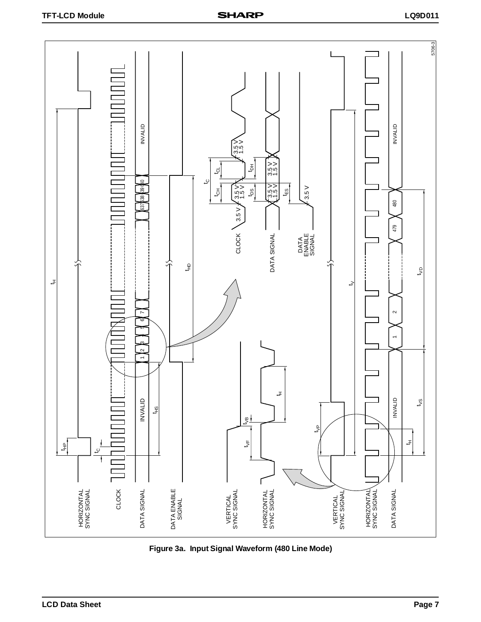

**Figure 3a. Input Signal Waveform (480 Line Mode)**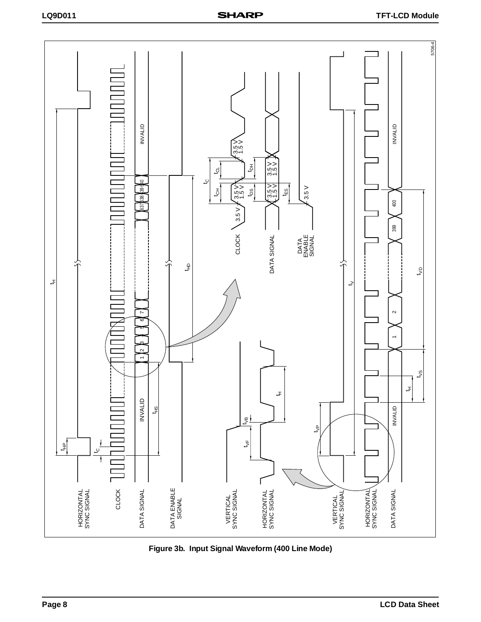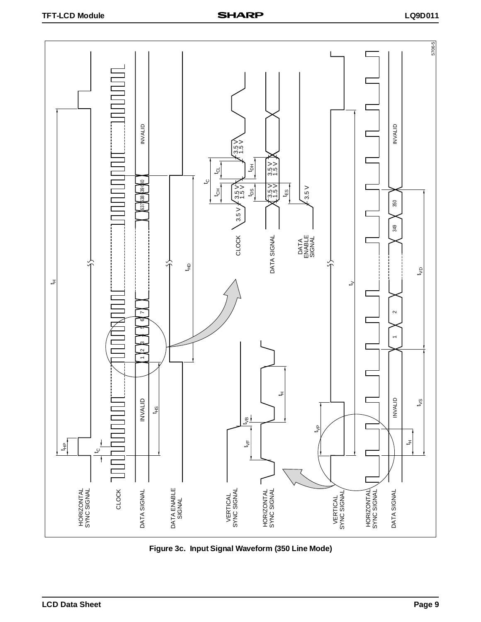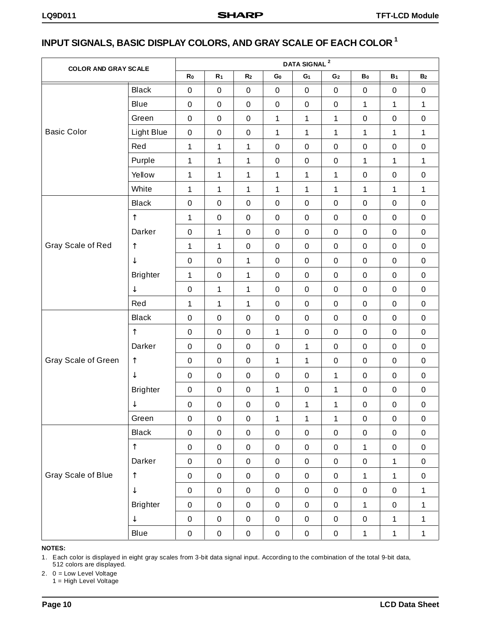# **INPUT SIGNALS, BASIC DISPLAY COLORS, AND GRAY SCALE OF EACH COLOR 1**

| <b>COLOR AND GRAY SCALE</b> |                 | DATA SIGNAL <sup>2</sup> |                  |                  |                  |                  |                  |              |                |                |
|-----------------------------|-----------------|--------------------------|------------------|------------------|------------------|------------------|------------------|--------------|----------------|----------------|
|                             |                 | R <sub>0</sub>           | R <sub>1</sub>   | R <sub>2</sub>   | $\mathbf{G_{0}}$ | G <sub>1</sub>   | G <sub>2</sub>   | $B_0$        | B <sub>1</sub> | B <sub>2</sub> |
|                             | <b>Black</b>    | $\pmb{0}$                | $\pmb{0}$        | $\pmb{0}$        | $\pmb{0}$        | $\mathbf 0$      | $\pmb{0}$        | $\pmb{0}$    | $\pmb{0}$      | $\pmb{0}$      |
|                             | Blue            | $\pmb{0}$                | $\pmb{0}$        | $\pmb{0}$        | $\pmb{0}$        | $\pmb{0}$        | $\boldsymbol{0}$ | $\mathbf{1}$ | $\mathbf{1}$   | $\mathbf 1$    |
|                             | Green           | $\pmb{0}$                | $\pmb{0}$        | $\pmb{0}$        | $\mathbf{1}$     | 1                | 1                | $\mathbf 0$  | $\pmb{0}$      | $\pmb{0}$      |
| <b>Basic Color</b>          | Light Blue      | $\pmb{0}$                | $\boldsymbol{0}$ | $\pmb{0}$        | $\mathbf 1$      | 1                | 1                | $\mathbf{1}$ | $\mathbf{1}$   | $\mathbf 1$    |
|                             | Red             | $\mathbf{1}$             | 1                | $\mathbf 1$      | $\pmb{0}$        | $\pmb{0}$        | $\boldsymbol{0}$ | $\mathbf 0$  | $\pmb{0}$      | $\pmb{0}$      |
|                             | Purple          | $\mathbf 1$              | 1                | 1                | $\pmb{0}$        | $\pmb{0}$        | $\boldsymbol{0}$ | $\mathbf{1}$ | $\mathbf{1}$   | $\mathbf 1$    |
|                             | Yellow          | $\mathbf{1}$             | 1                | 1                | $\mathbf 1$      | 1                | 1                | $\mathbf 0$  | $\pmb{0}$      | $\pmb{0}$      |
|                             | White           | $\mathbf 1$              | 1                | $\mathbf 1$      | 1                | 1                | 1                | $\mathbf{1}$ | $\mathbf{1}$   | $\mathbf 1$    |
|                             | <b>Black</b>    | $\pmb{0}$                | $\boldsymbol{0}$ | $\pmb{0}$        | $\pmb{0}$        | $\pmb{0}$        | $\boldsymbol{0}$ | $\mathbf 0$  | $\pmb{0}$      | $\pmb{0}$      |
|                             | $\uparrow$      | $\mathbf{1}$             | $\pmb{0}$        | $\pmb{0}$        | $\pmb{0}$        | $\pmb{0}$        | $\pmb{0}$        | $\pmb{0}$    | $\pmb{0}$      | $\pmb{0}$      |
|                             | Darker          | $\pmb{0}$                | 1                | $\pmb{0}$        | $\pmb{0}$        | $\pmb{0}$        | $\boldsymbol{0}$ | $\pmb{0}$    | $\pmb{0}$      | $\pmb{0}$      |
| Gray Scale of Red           | $\uparrow$      | $\mathbf{1}$             | 1                | $\pmb{0}$        | $\pmb{0}$        | $\pmb{0}$        | $\pmb{0}$        | $\pmb{0}$    | $\pmb{0}$      | $\pmb{0}$      |
|                             | ↓               | $\pmb{0}$                | $\pmb{0}$        | $\mathbf 1$      | $\pmb{0}$        | $\pmb{0}$        | $\pmb{0}$        | $\pmb{0}$    | $\pmb{0}$      | $\pmb{0}$      |
|                             | <b>Brighter</b> | $\mathbf{1}$             | $\pmb{0}$        | $\mathbf 1$      | $\mathbf 0$      | $\pmb{0}$        | $\pmb{0}$        | $\pmb{0}$    | $\pmb{0}$      | $\pmb{0}$      |
|                             | ↓               | $\pmb{0}$                | $\mathbf 1$      | $\mathbf 1$      | $\pmb{0}$        | $\pmb{0}$        | $\pmb{0}$        | $\pmb{0}$    | $\pmb{0}$      | $\pmb{0}$      |
|                             | Red             | $\mathbf 1$              | $\mathbf 1$      | $\mathbf{1}$     | $\mathbf 0$      | $\pmb{0}$        | $\pmb{0}$        | $\pmb{0}$    | $\pmb{0}$      | $\pmb{0}$      |
|                             | <b>Black</b>    | $\pmb{0}$                | $\pmb{0}$        | $\pmb{0}$        | $\mathbf 0$      | $\pmb{0}$        | $\pmb{0}$        | $\pmb{0}$    | $\pmb{0}$      | $\pmb{0}$      |
|                             | $\uparrow$      | $\pmb{0}$                | $\pmb{0}$        | $\pmb{0}$        | 1                | $\pmb{0}$        | $\pmb{0}$        | $\pmb{0}$    | $\pmb{0}$      | $\pmb{0}$      |
|                             | Darker          | $\pmb{0}$                | $\pmb{0}$        | $\pmb{0}$        | $\mathbf 0$      | $\mathbf 1$      | $\boldsymbol{0}$ | $\pmb{0}$    | $\pmb{0}$      | $\pmb{0}$      |
| Gray Scale of Green         | $\uparrow$      | 0                        | $\pmb{0}$        | $\pmb{0}$        | $\mathbf 1$      | 1                | $\boldsymbol{0}$ | $\pmb{0}$    | $\pmb{0}$      | $\pmb{0}$      |
|                             | $\downarrow$    | $\pmb{0}$                | $\pmb{0}$        | $\pmb{0}$        | $\mathbf 0$      | $\pmb{0}$        | 1                | $\pmb{0}$    | $\pmb{0}$      | $\pmb{0}$      |
|                             | <b>Brighter</b> | $\pmb{0}$                | $\pmb{0}$        | $\pmb{0}$        | $\mathbf{1}$     | $\pmb{0}$        | 1                | $\pmb{0}$    | $\pmb{0}$      | $\pmb{0}$      |
|                             | ↓               | $\pmb{0}$                | $\boldsymbol{0}$ | $\pmb{0}$        | $\pmb{0}$        | 1                | 1                | $\pmb{0}$    | $\pmb{0}$      | $\pmb{0}$      |
|                             | Green           | $\boldsymbol{0}$         | $\pmb{0}$        | $\mathbf 0$      | $\mathbf{1}$     | $\mathbf{1}$     | $\mathbf{1}$     | $\mathbf 0$  | $\mathbf 0$    | $\pmb{0}$      |
|                             | <b>Black</b>    | $\pmb{0}$                | $\boldsymbol{0}$ | $\boldsymbol{0}$ | $\pmb{0}$        | $\pmb{0}$        | $\pmb{0}$        | $\pmb{0}$    | $\pmb{0}$      | $\pmb{0}$      |
|                             | $\uparrow$      | $\pmb{0}$                | $\pmb{0}$        | $\mathbf 0$      | $\mathsf 0$      | $\pmb{0}$        | $\pmb{0}$        | $\mathbf{1}$ | $\pmb{0}$      | $\pmb{0}$      |
|                             | Darker          | $\boldsymbol{0}$         | $\boldsymbol{0}$ | $\mathbf 0$      | $\pmb{0}$        | $\pmb{0}$        | $\pmb{0}$        | $\pmb{0}$    | $\mathbf{1}$   | $\pmb{0}$      |
| Gray Scale of Blue          | $\uparrow$      | $\pmb{0}$                | $\pmb{0}$        | $\mathbf 0$      | $\pmb{0}$        | $\pmb{0}$        | $\mathbf 0$      | $\mathbf{1}$ | $\mathbf{1}$   | $\pmb{0}$      |
|                             | $\downarrow$    | $\pmb{0}$                | $\pmb{0}$        | $\mathbf 0$      | $\pmb{0}$        | $\pmb{0}$        | $\pmb{0}$        | $\pmb{0}$    | $\pmb{0}$      | $\mathbf{1}$   |
|                             | <b>Brighter</b> | $\pmb{0}$                | $\pmb{0}$        | $\pmb{0}$        | $\pmb{0}$        | $\boldsymbol{0}$ | $\pmb{0}$        | $\mathbf{1}$ | $\pmb{0}$      | $\mathbf{1}$   |
|                             | ↓               | $\pmb{0}$                | $\pmb{0}$        | $\pmb{0}$        | $\pmb{0}$        | $\boldsymbol{0}$ | $\pmb{0}$        | $\mathbf 0$  | $\mathbf{1}$   | $\mathbf{1}$   |
|                             | Blue            | $\boldsymbol{0}$         | $\mathsf 0$      | $\mathbf 0$      | $\pmb{0}$        | $\mathbf 0$      | $\pmb{0}$        | $\mathbf 1$  | $\mathbf{1}$   | $\mathbf 1$    |

### **NOTES:**

1. Each color is displayed in eight gray scales from 3-bit data signal input. According to the combination of the total 9-bit data, 512 colors are displayed.

2. 0 = Low Level Voltage

1 = High Level Voltage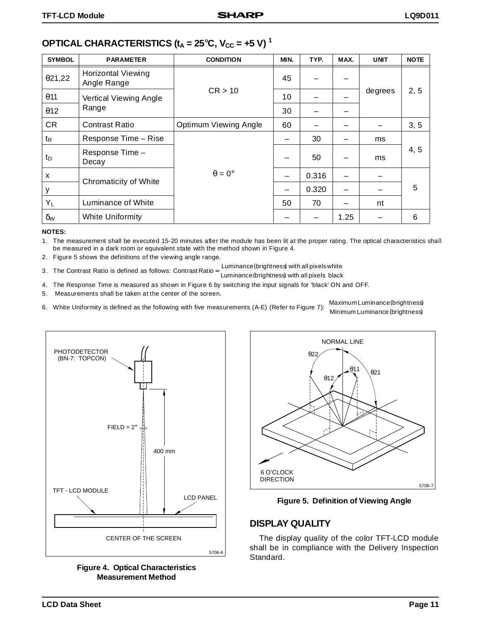| <b>SYMBOL</b>         | <b>PARAMETER</b>                         | <b>CONDITION</b>      | MIN. | TYP.  | MAX.                     | <b>UNIT</b> | <b>NOTE</b> |
|-----------------------|------------------------------------------|-----------------------|------|-------|--------------------------|-------------|-------------|
| 021,22                | <b>Horizontal Viewing</b><br>Angle Range |                       | 45   |       |                          |             |             |
| $\theta$ 11           | Vertical Viewing Angle                   | CR > 10               | 10   |       |                          | degrees     | 2, 5        |
| 012                   | Range                                    |                       | 30   |       |                          |             |             |
| <b>CR</b>             | <b>Contrast Ratio</b>                    | Optimum Viewing Angle | 60   |       |                          |             | 3, 5        |
| t <sub>R</sub>        | Response Time - Rise                     |                       |      | 30    |                          | ms          |             |
| t <sub>D</sub>        | Response Time -<br>Decay                 |                       |      | 50    |                          | ms          | 4, 5        |
| X                     | Chromaticity of White                    | $\theta = 0^{\circ}$  | —    | 0.316 | -                        |             |             |
| у                     |                                          |                       | —    | 0.320 | $\overline{\phantom{0}}$ |             | 5           |
| $Y_L$                 | Luminance of White                       |                       | 50   | 70    |                          | nt          |             |
| $\delta_{\mathsf{W}}$ | White Uniformity                         |                       |      |       | 1.25                     |             | 6           |

# **OPTICAL CHARACTERISTICS (** $t_A = 25^\circ$ **C,**  $V_{CC} = +5$  **V)<sup>1</sup>**

#### **NOTES:**

1. The measurement shall be executed 15-20 minutes after the module has been lit at the proper rating. The optical characteristics shall be measured in a dark room or equivalent state with the method shown in Figure 4.

- 2. Figure 5 shows the definitions of the viewing angle range.
- 3. The Contrast Ratio is defined as follows: Contrast Ratio =  $\frac{\text{Luminance}}{\text{Luminance}}$  with all pixels white
	- Luminance (brightness) with all pixels black
- 4. The Response Time is measured as shown in Figure 6 by switching the input signals for 'black' ON and OFF. 5. Measurements shall be taken at the center of the screen.
- 6. White Uniformity is defined as the following with five measurements (A-E) (Refer to Figure 7):  $\frac{\text{Maximum Luminance (brightness)}}{\text{Maximum Luminance (brightness)}}$

Minimum Luminance (brightness)



**Figure 4. Optical Characteristics Measurement Method**





### **DISPLAY QUALITY**

The display quality of the color TFT-LCD module shall be in compliance with the Delivery Inspection Standard.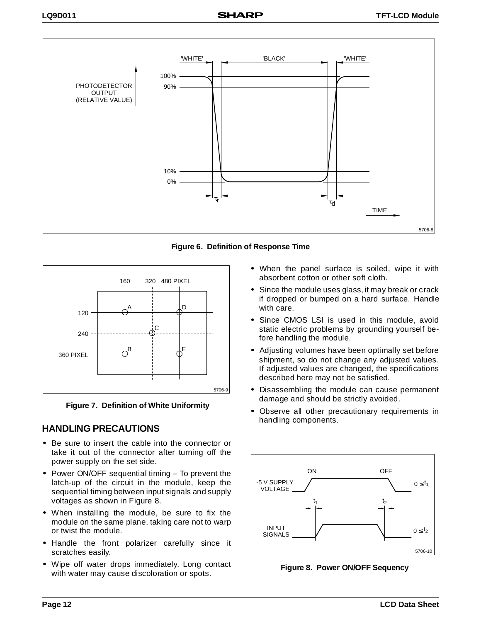

**Figure 6. Definition of Response Time**



**Figure 7. Definition of White Uniformity**

# **HANDLING PRECAUTIONS**

- Be sure to insert the cable into the connector or take it out of the connector after turning off the power supply on the set side.
- Power ON/OFF sequential timing To prevent the latch-up of the circuit in the module, keep the sequential timing between input signals and supply voltages as shown in Figure 8.
- When installing the module, be sure to fix the module on the same plane, taking care not to warp or twist the module.
- Handle the front polarizer carefully since it scratches easily.
- Wipe off water drops immediately. Long contact with water may cause discoloration or spots.
- When the panel surface is soiled, wipe it with absorbent cotton or other soft cloth.
- Since the module uses glass, it may break or crack if dropped or bumped on a hard surface. Handle with care.
- Since CMOS LSI is used in this module, avoid static electric problems by grounding yourself before handling the module.
- Adjusting volumes have been optimally set before shipment, so do not change any adjusted values. If adjusted values are changed, the specifications described here may not be satisfied.
- Disassembling the module can cause permanent damage and should be strictly avoided.
- Observe all other precautionary requirements in handling components.



**Figure 8. Power ON/OFF Sequency**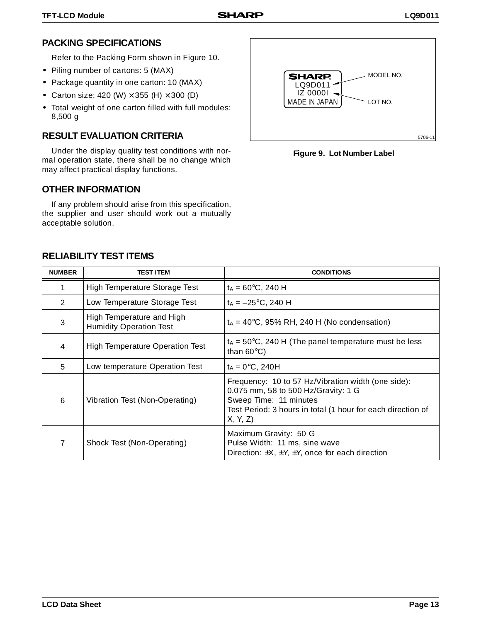# **PACKING SPECIFICATIONS**

Refer to the Packing Form shown in Figure 10.

- Piling number of cartons: 5 (MAX)
- Package quantity in one carton: 10 (MAX)
- Carton size: 420 (W)  $\times$  355 (H)  $\times$  300 (D)
- Total weight of one carton filled with full modules: 8,500 g

## **RESULT EVALUATION CRITERIA**

Under the display quality test conditions with normal operation state, there shall be no change which may affect practical display functions.

### **OTHER INFORMATION**

If any problem should arise from this specification, the supplier and user should work out a mutually acceptable solution.



**Figure 9. Lot Number Label**

### **RELIABILITY TEST ITEMS**

| <b>NUMBER</b> | <b>TEST ITEM</b>                                            | <b>CONDITIONS</b>                                                                                                                                                                             |
|---------------|-------------------------------------------------------------|-----------------------------------------------------------------------------------------------------------------------------------------------------------------------------------------------|
|               | High Temperature Storage Test                               | $t_A = 60^{\circ}C$ , 240 H                                                                                                                                                                   |
| 2             | Low Temperature Storage Test                                | $t_A = -25$ °C, 240 H                                                                                                                                                                         |
| 3             | High Temperature and High<br><b>Humidity Operation Test</b> | $t_A = 40^{\circ}$ C, 95% RH, 240 H (No condensation)                                                                                                                                         |
| 4             | High Temperature Operation Test                             | $t_A$ = 50°C, 240 H (The panel temperature must be less<br>than $60^{\circ}$ C)                                                                                                               |
| 5             | Low temperature Operation Test                              | $t_A = 0$ °C, 240H                                                                                                                                                                            |
| 6             | Vibration Test (Non-Operating)                              | Frequency: 10 to 57 Hz/Vibration width (one side):<br>0.075 mm, 58 to 500 Hz/Gravity: 1 G<br>Sweep Time: 11 minutes<br>Test Period: 3 hours in total (1 hour for each direction of<br>X, Y, Z |
| 7             | Shock Test (Non-Operating)                                  | Maximum Gravity: 50 G<br>Pulse Width: 11 ms, sine wave<br>Direction: $\pm X$ , $\pm Y$ , $\pm Y$ , once for each direction                                                                    |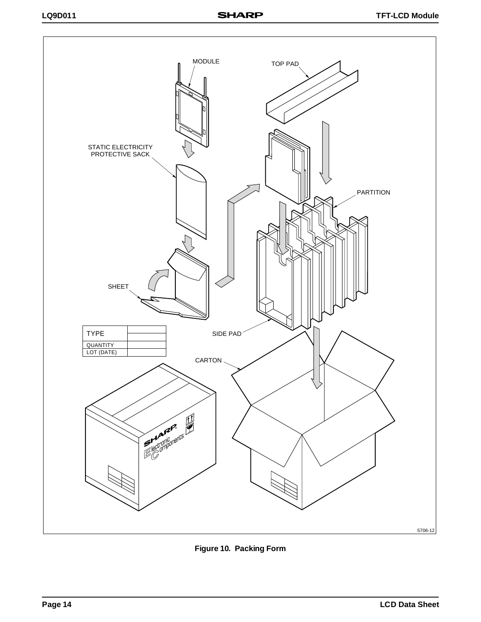